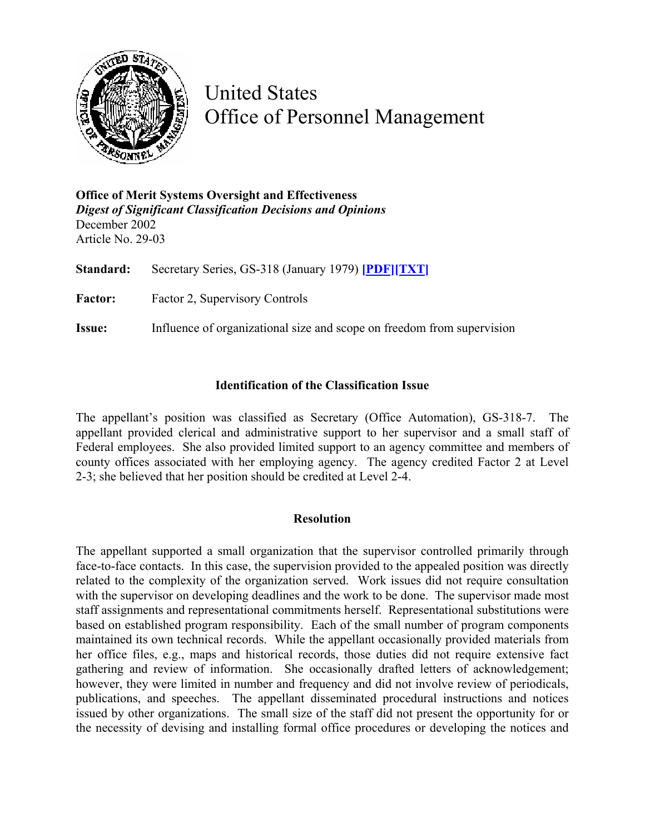

United States Office of Personnel Management

**Office of Merit Systems Oversight and Effectiveness**  *Digest of Significant Classification Decisions and Opinions* December 2002 Article No. 29-03

**Standard:** Secretary Series, GS-318 (January 1979) **[\[PDF\]](http://www.opm.gov/fedclass/gs0318.pdf)[\[TXT\]](http://www.opm.gov/fedclass/text/gs0318.w51)** Factor: Factor 2, Supervisory Controls

**Issue:** Influence of organizational size and scope on freedom from supervision

## **Identification of the Classification Issue**

The appellant's position was classified as Secretary (Office Automation), GS-318-7. The appellant provided clerical and administrative support to her supervisor and a small staff of Federal employees. She also provided limited support to an agency committee and members of county offices associated with her employing agency. The agency credited Factor 2 at Level 2-3; she believed that her position should be credited at Level 2-4.

## **Resolution**

The appellant supported a small organization that the supervisor controlled primarily through face-to-face contacts. In this case, the supervision provided to the appealed position was directly related to the complexity of the organization served. Work issues did not require consultation with the supervisor on developing deadlines and the work to be done. The supervisor made most staff assignments and representational commitments herself. Representational substitutions were based on established program responsibility. Each of the small number of program components maintained its own technical records. While the appellant occasionally provided materials from her office files, e.g., maps and historical records, those duties did not require extensive fact gathering and review of information. She occasionally drafted letters of acknowledgement; however, they were limited in number and frequency and did not involve review of periodicals, publications, and speeches. The appellant disseminated procedural instructions and notices issued by other organizations. The small size of the staff did not present the opportunity for or the necessity of devising and installing formal office procedures or developing the notices and